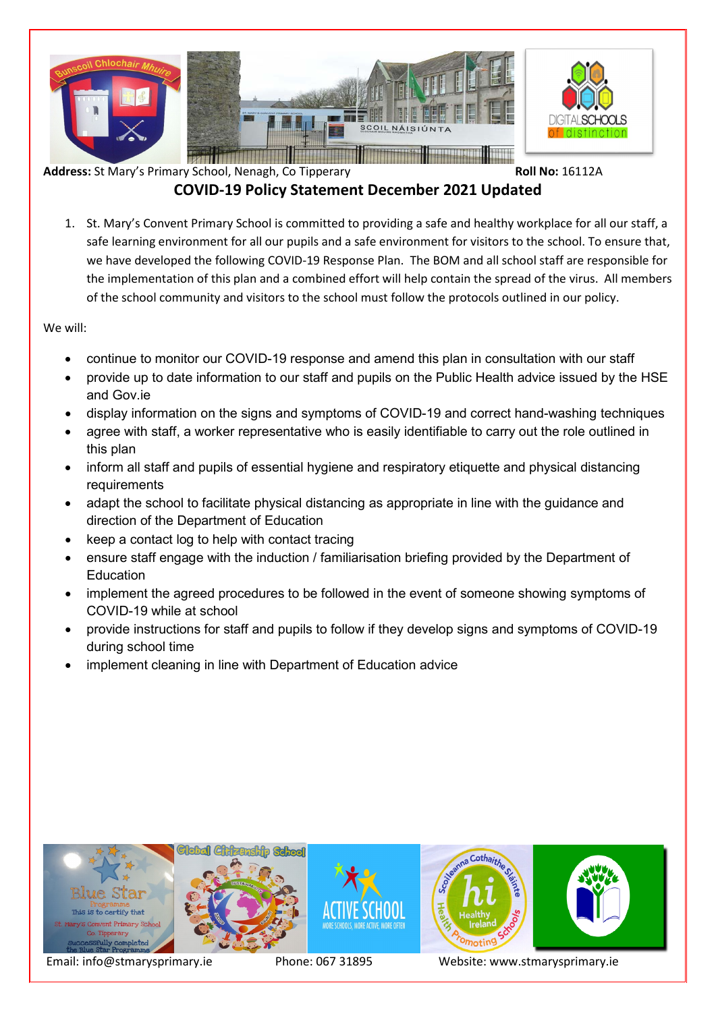

# **COVID-19 Policy Statement December 2021 Updated**

1. St. Mary's Convent Primary School is committed to providing a safe and healthy workplace for all our staff, a safe learning environment for all our pupils and a safe environment for visitors to the school. To ensure that, we have developed the following COVID-19 Response Plan. The BOM and all school staff are responsible for the implementation of this plan and a combined effort will help contain the spread of the virus. All members of the school community and visitors to the school must follow the protocols outlined in our policy.

We will:

- continue to monitor our COVID-19 response and amend this plan in consultation with our staff
- provide up to date information to our staff and pupils on the Public Health advice issued by the HSE and Gov.ie
- display information on the signs and symptoms of COVID-19 and correct hand-washing techniques
- agree with staff, a worker representative who is easily identifiable to carry out the role outlined in this plan
- inform all staff and pupils of essential hygiene and respiratory etiquette and physical distancing requirements
- adapt the school to facilitate physical distancing as appropriate in line with the guidance and direction of the Department of Education
- keep a contact log to help with contact tracing
- ensure staff engage with the induction / familiarisation briefing provided by the Department of Education
- implement the agreed procedures to be followed in the event of someone showing symptoms of COVID-19 while at school
- provide instructions for staff and pupils to follow if they develop signs and symptoms of COVID-19 during school time
- implement cleaning in line with Department of Education advice

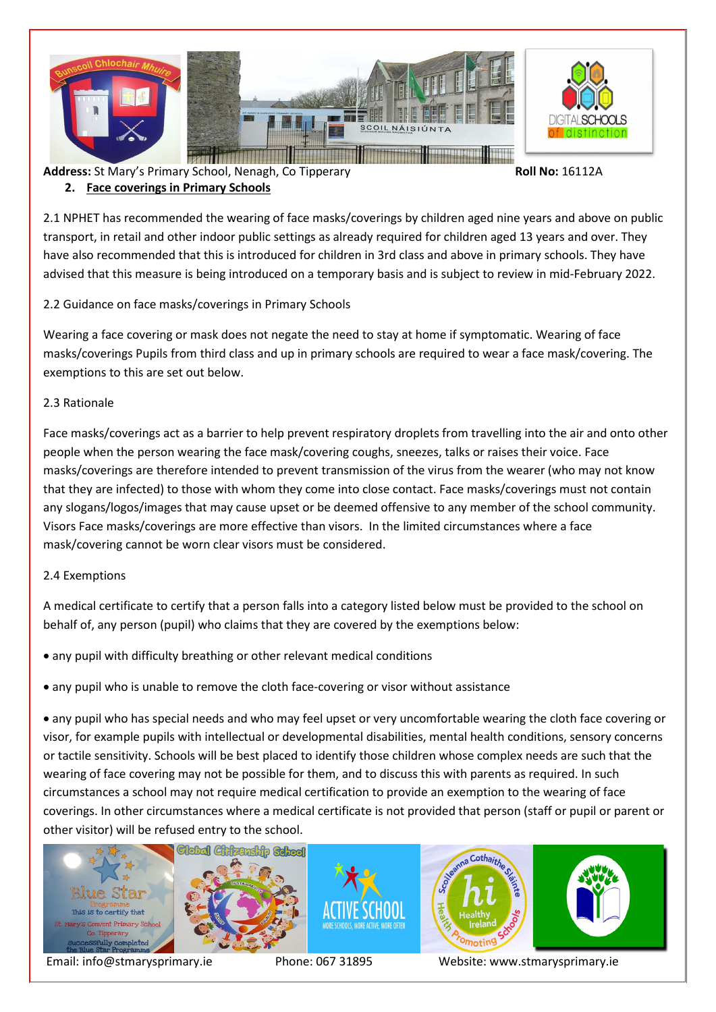

# **2. Face coverings in Primary Schools**

2.1 NPHET has recommended the wearing of face masks/coverings by children aged nine years and above on public transport, in retail and other indoor public settings as already required for children aged 13 years and over. They have also recommended that this is introduced for children in 3rd class and above in primary schools. They have advised that this measure is being introduced on a temporary basis and is subject to review in mid-February 2022.

## 2.2 Guidance on face masks/coverings in Primary Schools

Wearing a face covering or mask does not negate the need to stay at home if symptomatic. Wearing of face masks/coverings Pupils from third class and up in primary schools are required to wear a face mask/covering. The exemptions to this are set out below.

### 2.3 Rationale

Face masks/coverings act as a barrier to help prevent respiratory droplets from travelling into the air and onto other people when the person wearing the face mask/covering coughs, sneezes, talks or raises their voice. Face masks/coverings are therefore intended to prevent transmission of the virus from the wearer (who may not know that they are infected) to those with whom they come into close contact. Face masks/coverings must not contain any slogans/logos/images that may cause upset or be deemed offensive to any member of the school community. Visors Face masks/coverings are more effective than visors. In the limited circumstances where a face mask/covering cannot be worn clear visors must be considered.

### 2.4 Exemptions

A medical certificate to certify that a person falls into a category listed below must be provided to the school on behalf of, any person (pupil) who claims that they are covered by the exemptions below:

- any pupil with difficulty breathing or other relevant medical conditions
- any pupil who is unable to remove the cloth face-covering or visor without assistance

• any pupil who has special needs and who may feel upset or very uncomfortable wearing the cloth face covering or visor, for example pupils with intellectual or developmental disabilities, mental health conditions, sensory concerns or tactile sensitivity. Schools will be best placed to identify those children whose complex needs are such that the wearing of face covering may not be possible for them, and to discuss this with parents as required. In such circumstances a school may not require medical certification to provide an exemption to the wearing of face coverings. In other circumstances where a medical certificate is not provided that person (staff or pupil or parent or other visitor) will be refused entry to the school.

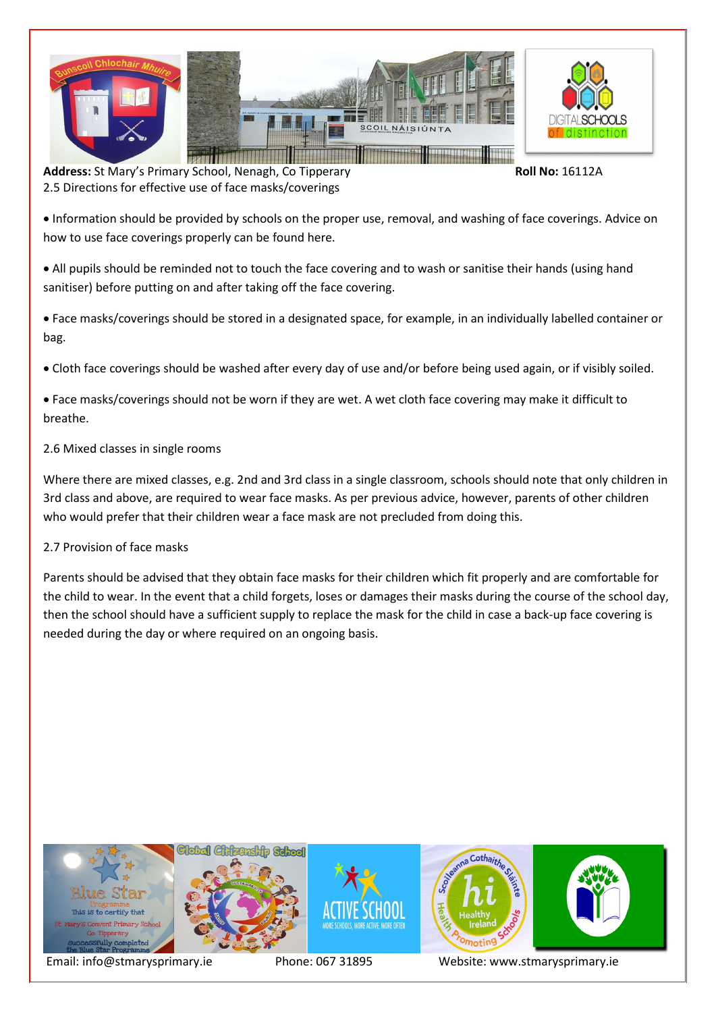

Address: St Mary's Primary School, Nenagh, Co Tipperary **Roll No: 16112A** 2.5 Directions for effective use of face masks/coverings

• Information should be provided by schools on the proper use, removal, and washing of face coverings. Advice on how to use face coverings properly can be found here.

• All pupils should be reminded not to touch the face covering and to wash or sanitise their hands (using hand sanitiser) before putting on and after taking off the face covering.

• Face masks/coverings should be stored in a designated space, for example, in an individually labelled container or bag.

• Cloth face coverings should be washed after every day of use and/or before being used again, or if visibly soiled.

• Face masks/coverings should not be worn if they are wet. A wet cloth face covering may make it difficult to breathe.

### 2.6 Mixed classes in single rooms

Where there are mixed classes, e.g. 2nd and 3rd class in a single classroom, schools should note that only children in 3rd class and above, are required to wear face masks. As per previous advice, however, parents of other children who would prefer that their children wear a face mask are not precluded from doing this.

### 2.7 Provision of face masks

Parents should be advised that they obtain face masks for their children which fit properly and are comfortable for the child to wear. In the event that a child forgets, loses or damages their masks during the course of the school day, then the school should have a sufficient supply to replace the mask for the child in case a back-up face covering is needed during the day or where required on an ongoing basis.

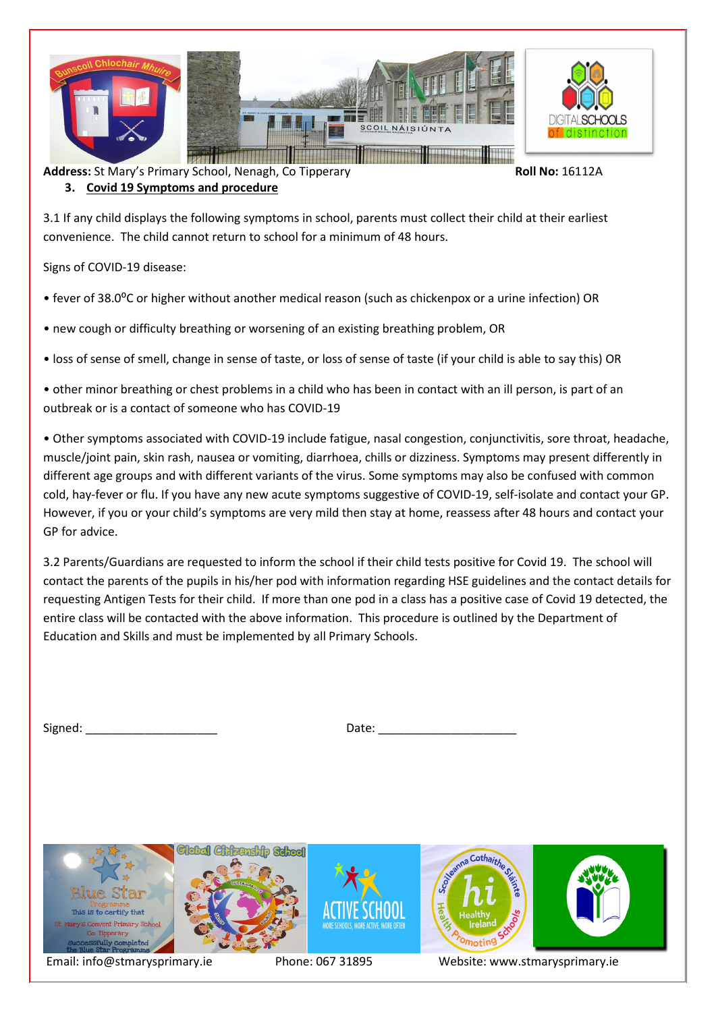

**3. Covid 19 Symptoms and procedure**

3.1 If any child displays the following symptoms in school, parents must collect their child at their earliest convenience. The child cannot return to school for a minimum of 48 hours.

Signs of COVID-19 disease:

- fever of 38.0⁰C or higher without another medical reason (such as chickenpox or a urine infection) OR
- new cough or difficulty breathing or worsening of an existing breathing problem, OR
- loss of sense of smell, change in sense of taste, or loss of sense of taste (if your child is able to say this) OR
- other minor breathing or chest problems in a child who has been in contact with an ill person, is part of an outbreak or is a contact of someone who has COVID-19
- Other symptoms associated with COVID-19 include fatigue, nasal congestion, conjunctivitis, sore throat, headache, muscle/joint pain, skin rash, nausea or vomiting, diarrhoea, chills or dizziness. Symptoms may present differently in different age groups and with different variants of the virus. Some symptoms may also be confused with common cold, hay-fever or flu. If you have any new acute symptoms suggestive of COVID-19, self-isolate and contact your GP. However, if you or your child's symptoms are very mild then stay at home, reassess after 48 hours and contact your GP for advice.
- 3.2 Parents/Guardians are requested to inform the school if their child tests positive for Covid 19. The school will contact the parents of the pupils in his/her pod with information regarding HSE guidelines and the contact details for requesting Antigen Tests for their child. If more than one pod in a class has a positive case of Covid 19 detected, the entire class will be contacted with the above information. This procedure is outlined by the Department of Education and Skills and must be implemented by all Primary Schools.

Signed: \_\_\_\_\_\_\_\_\_\_\_\_\_\_\_\_\_\_\_\_ Date: \_\_\_\_\_\_\_\_\_\_\_\_\_\_\_\_\_\_\_\_\_

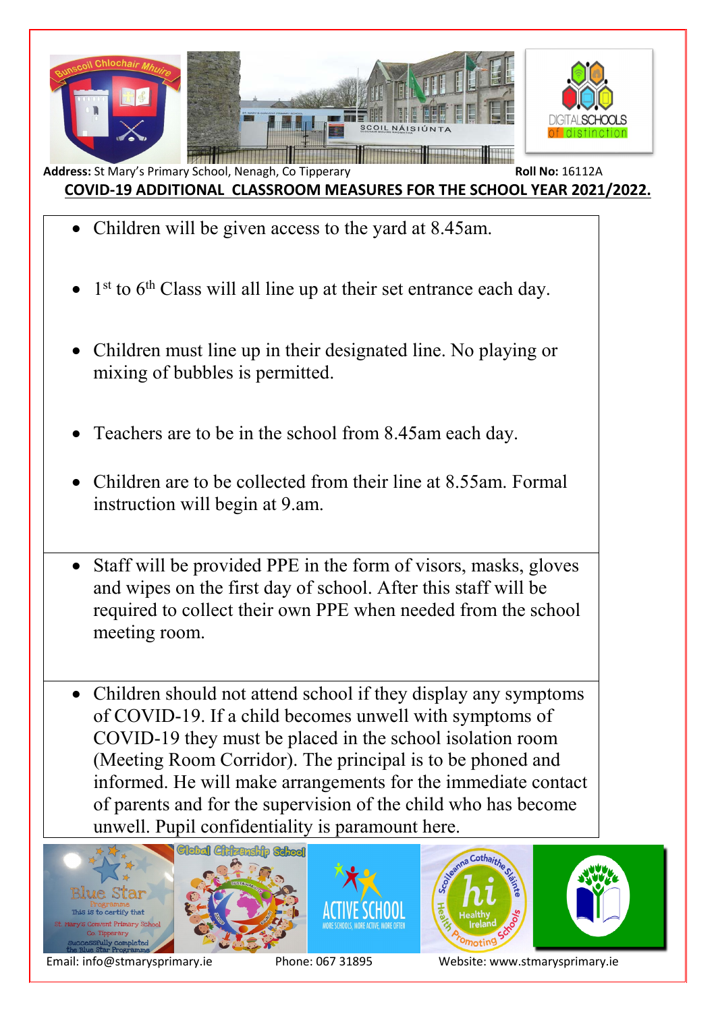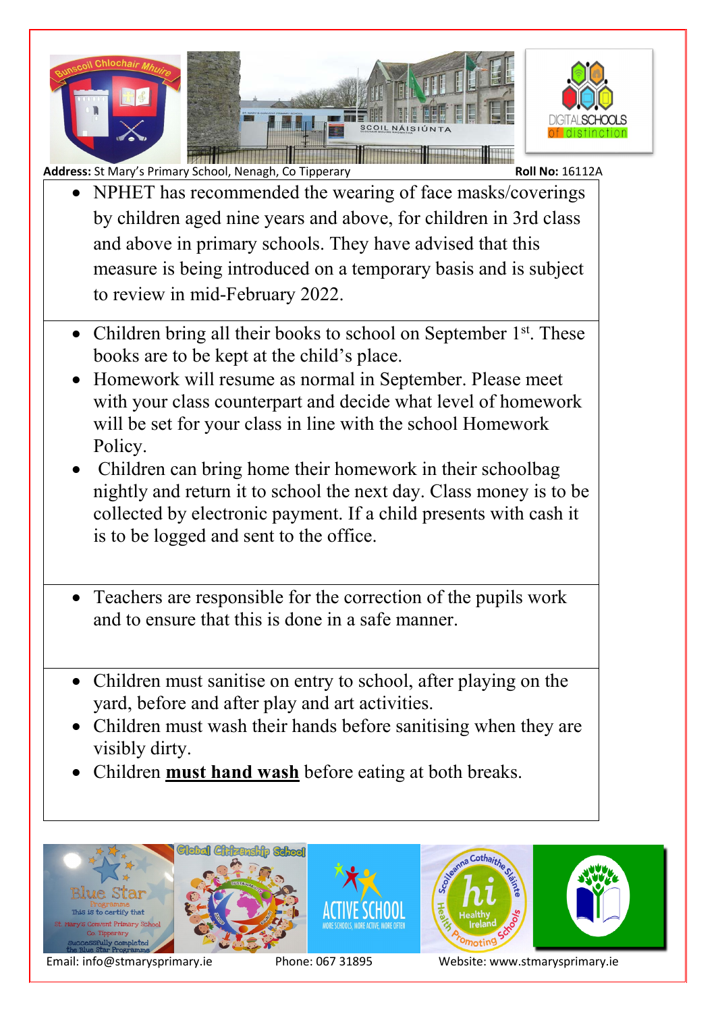

- NPHET has recommended the wearing of face masks/coverings by children aged nine years and above, for children in 3rd class and above in primary schools. They have advised that this measure is being introduced on a temporary basis and is subject to review in mid-February 2022.
- Children bring all their books to school on September  $1<sup>st</sup>$ . These books are to be kept at the child's place.
- Homework will resume as normal in September. Please meet with your class counterpart and decide what level of homework will be set for your class in line with the school Homework Policy.
- Children can bring home their homework in their schoolbag nightly and return it to school the next day. Class money is to be collected by electronic payment. If a child presents with cash it is to be logged and sent to the office.
- Teachers are responsible for the correction of the pupils work and to ensure that this is done in a safe manner.
- Children must sanitise on entry to school, after playing on the yard, before and after play and art activities.
- Children must wash their hands before sanitising when they are visibly dirty.
- Children **must hand wash** before eating at both breaks.

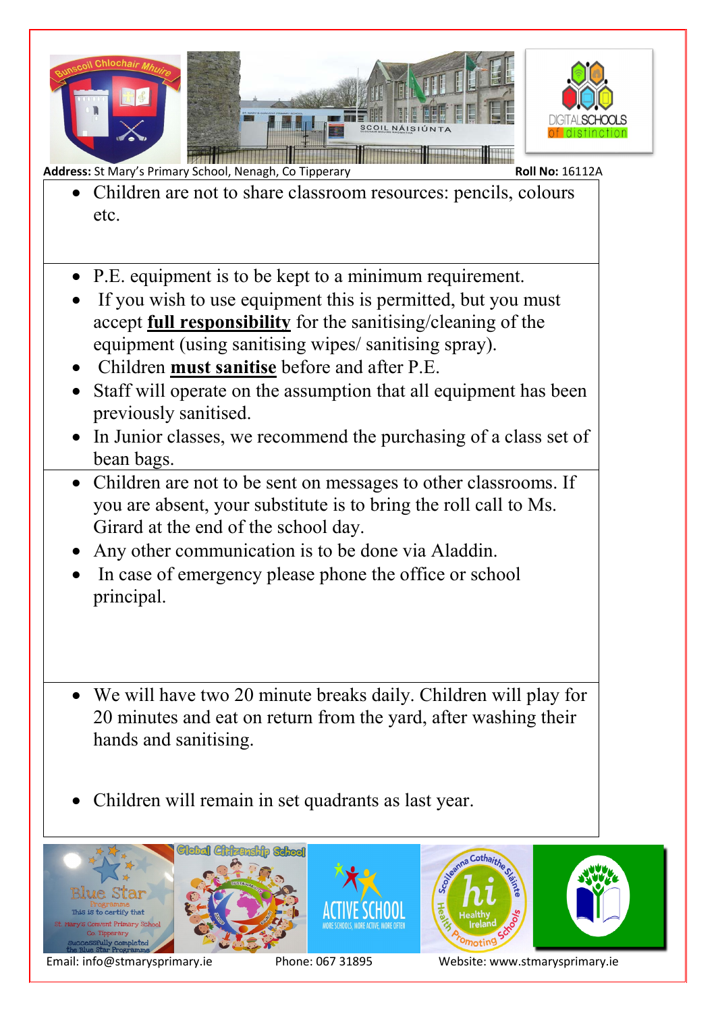

- Children are not to share classroom resources: pencils, colours etc.
- P.E. equipment is to be kept to a minimum requirement.
- If you wish to use equipment this is permitted, but you must accept **full responsibility** for the sanitising/cleaning of the equipment (using sanitising wipes/ sanitising spray).
- Children **must sanitise** before and after P.E.
- Staff will operate on the assumption that all equipment has been previously sanitised.
- In Junior classes, we recommend the purchasing of a class set of bean bags.
- Children are not to be sent on messages to other classrooms. If you are absent, your substitute is to bring the roll call to Ms. Girard at the end of the school day.
- Any other communication is to be done via Aladdin.
- In case of emergency please phone the office or school principal.
- We will have two 20 minute breaks daily. Children will play for 20 minutes and eat on return from the yard, after washing their hands and sanitising.
- Children will remain in set quadrants as last year.

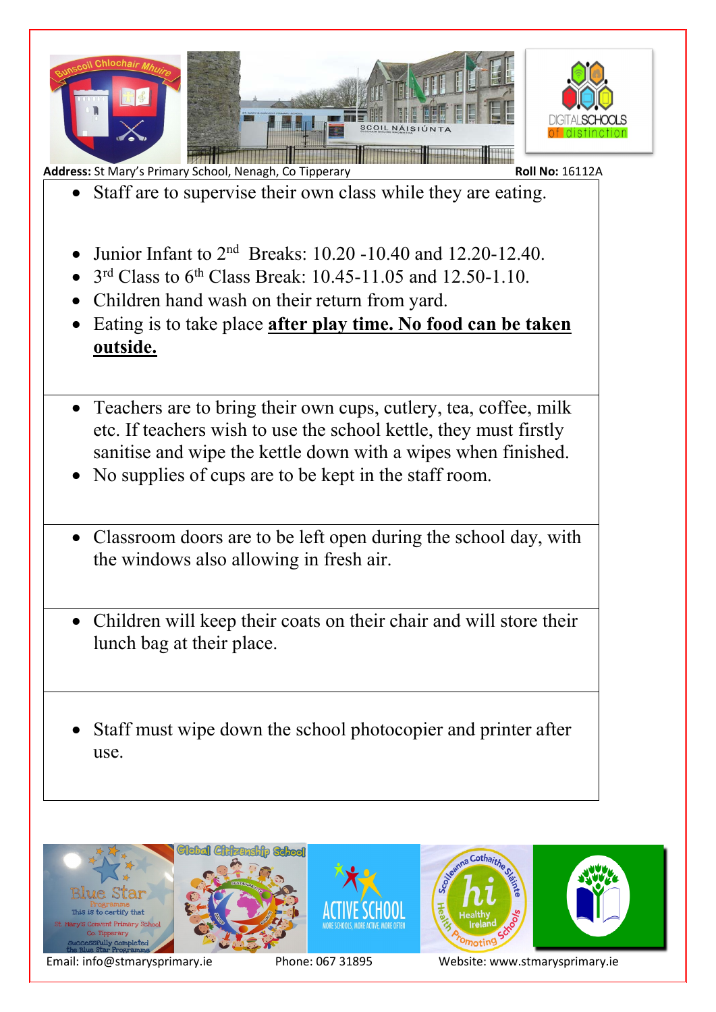

- Staff are to supervise their own class while they are eating.
- Junior Infant to  $2<sup>nd</sup>$  Breaks: 10.20 -10.40 and 12.20-12.40.
- $3<sup>rd</sup> Class to 6<sup>th</sup> Class Break: 10.45-11.05 and 12.50-1.10.$
- Children hand wash on their return from yard.
- Eating is to take place **after play time. No food can be taken outside.**
- Teachers are to bring their own cups, cutlery, tea, coffee, milk etc. If teachers wish to use the school kettle, they must firstly sanitise and wipe the kettle down with a wipes when finished.
- No supplies of cups are to be kept in the staff room.
- Classroom doors are to be left open during the school day, with the windows also allowing in fresh air.
- Children will keep their coats on their chair and will store their lunch bag at their place.
- Staff must wipe down the school photocopier and printer after use.